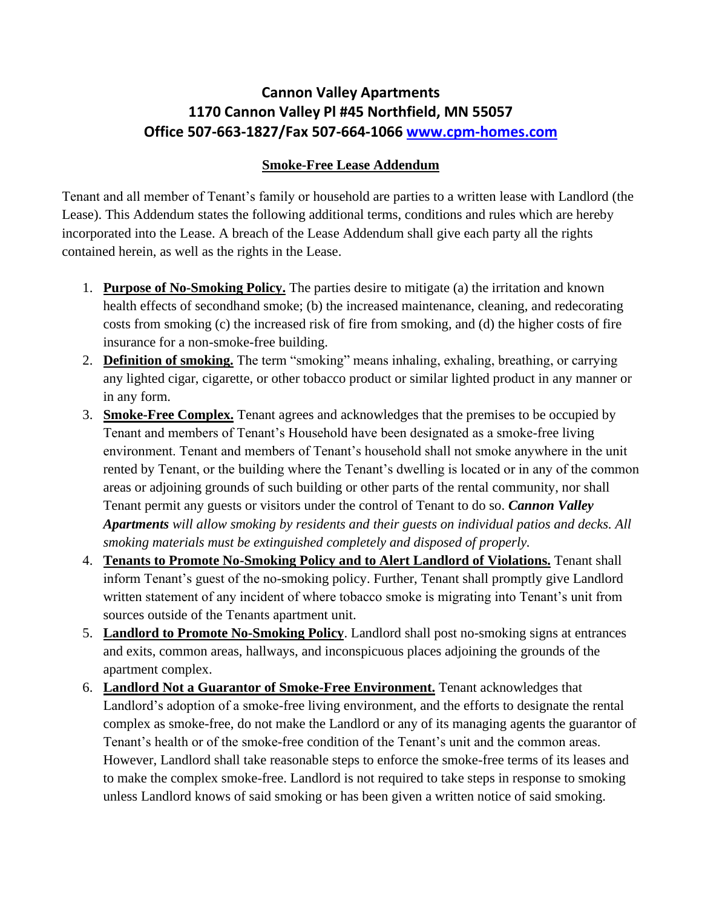## **Cannon Valley Apartments 1170 Cannon Valley Pl #45 Northfield, MN 55057 Office 507-663-1827/Fax 507-664-1066 [www.cpm-homes.com](http://www.cpm-homes.com/)**

## **Smoke-Free Lease Addendum**

Tenant and all member of Tenant's family or household are parties to a written lease with Landlord (the Lease). This Addendum states the following additional terms, conditions and rules which are hereby incorporated into the Lease. A breach of the Lease Addendum shall give each party all the rights contained herein, as well as the rights in the Lease.

- 1. **Purpose of No-Smoking Policy.** The parties desire to mitigate (a) the irritation and known health effects of secondhand smoke; (b) the increased maintenance, cleaning, and redecorating costs from smoking (c) the increased risk of fire from smoking, and (d) the higher costs of fire insurance for a non-smoke-free building.
- 2. **Definition of smoking.** The term "smoking" means inhaling, exhaling, breathing, or carrying any lighted cigar, cigarette, or other tobacco product or similar lighted product in any manner or in any form.
- 3. **Smoke-Free Complex.** Tenant agrees and acknowledges that the premises to be occupied by Tenant and members of Tenant's Household have been designated as a smoke-free living environment. Tenant and members of Tenant's household shall not smoke anywhere in the unit rented by Tenant, or the building where the Tenant's dwelling is located or in any of the common areas or adjoining grounds of such building or other parts of the rental community, nor shall Tenant permit any guests or visitors under the control of Tenant to do so. *Cannon Valley Apartments will allow smoking by residents and their guests on individual patios and decks. All smoking materials must be extinguished completely and disposed of properly.*
- 4. **Tenants to Promote No-Smoking Policy and to Alert Landlord of Violations.** Tenant shall inform Tenant's guest of the no-smoking policy. Further, Tenant shall promptly give Landlord written statement of any incident of where tobacco smoke is migrating into Tenant's unit from sources outside of the Tenants apartment unit.
- 5. **Landlord to Promote No-Smoking Policy**. Landlord shall post no-smoking signs at entrances and exits, common areas, hallways, and inconspicuous places adjoining the grounds of the apartment complex.
- 6. **Landlord Not a Guarantor of Smoke-Free Environment.** Tenant acknowledges that Landlord's adoption of a smoke-free living environment, and the efforts to designate the rental complex as smoke-free, do not make the Landlord or any of its managing agents the guarantor of Tenant's health or of the smoke-free condition of the Tenant's unit and the common areas. However, Landlord shall take reasonable steps to enforce the smoke-free terms of its leases and to make the complex smoke-free. Landlord is not required to take steps in response to smoking unless Landlord knows of said smoking or has been given a written notice of said smoking.